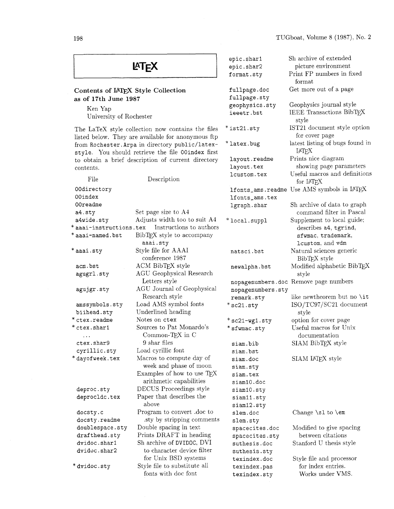| <b>LATEX</b>                                                                                            |                                                     | epic.shar1<br>epic.shar2<br>format.sty | Sh archive of extended<br>picture environment<br>Print FP numbers in fixed<br>format |
|---------------------------------------------------------------------------------------------------------|-----------------------------------------------------|----------------------------------------|--------------------------------------------------------------------------------------|
| Contents of IATEX Style Collection                                                                      |                                                     | fullpage.doc                           | Get more out of a page                                                               |
| as of 17th June 1987                                                                                    |                                                     | fullpage.sty                           |                                                                                      |
| Ken Yap                                                                                                 |                                                     | geophysics.sty                         | Geophysics journal style<br><b>IEEE Transactions BibTEX</b>                          |
| University of Rochester                                                                                 |                                                     | ieeetr.bst                             | style                                                                                |
| The LaTeX style collection now contains the files<br>listed below. They are available for anonymous ftp |                                                     | $*$ ist $21$ .sty                      | IST21 document style option<br>for cover page                                        |
| from Rochester. Arpa in directory public/latex-<br>style. You should retrieve the file 00index first    |                                                     | *latex.bug                             | latest listing of bugs found in<br><b>IATFX</b>                                      |
| to obtain a brief description of current directory                                                      |                                                     | layout.readme                          | Prints nice diagram                                                                  |
| contents.                                                                                               |                                                     | layout.tex                             | showing page parameters                                                              |
| File                                                                                                    | Description                                         | lcustom.tex                            | Useful macros and definitions<br>for IATFX                                           |
| 00directory                                                                                             |                                                     |                                        | lfonts_ams.readme Use AMS symbols in LATEX                                           |
| 00index                                                                                                 |                                                     | lfonts_ams.tex                         |                                                                                      |
| 00readme                                                                                                |                                                     | lgraph.shar                            | Sh archive of data to graph                                                          |
| a4.sty                                                                                                  | Set page size to A4<br>Adjusts width too to suit A4 |                                        | command filter in Pascal                                                             |
| a4wide.sty<br>* aaai-instructions.tex                                                                   | Instructions to authors                             | *local.suppl                           | Supplement to local guide;<br>describes a4, tgrind,                                  |
| * aaai-named.bst                                                                                        | BibTEX style to accompany                           |                                        | sfwmac, trademark,                                                                   |
|                                                                                                         | aaai.sty                                            |                                        | lcustom, and vdm                                                                     |
| * aaai.sty                                                                                              | Style file for AAAI<br>conference 1987              | natsci.bst                             | Natural sciences generic<br>BibTFX style                                             |
| acm.bst                                                                                                 | ACM BibTEX style                                    | newalpha.bst                           | Modified alphabetic BibTEX                                                           |
| agugrl.sty                                                                                              | <b>AGU</b> Geophysical Research                     |                                        | style                                                                                |
|                                                                                                         | Letters style                                       |                                        | nopagenumbers.doc Remove page numbers                                                |
| agujgr.sty                                                                                              | AGU Journal of Geophysical                          | nopagenumbers.sty                      |                                                                                      |
|                                                                                                         | Research style                                      | remark.sty                             | like newtheorem but no \it                                                           |
| amssymbols.sty<br>biihead.sty                                                                           | Load AMS symbol fonts<br>Underlined heading         | $*sc21.sty$                            | ISO/TC97/SC21 document                                                               |
| * ctex.readme                                                                                           | Notes on ctex                                       | $*sc21-wg1.sty$                        | style<br>option for cover page                                                       |
| * ctex.shar1                                                                                            | Sources to Pat Monardo's                            | * sfwmac.sty                           | Useful macros for Unix                                                               |
|                                                                                                         | Common-T $EX$ in C                                  |                                        | documentation                                                                        |
| ctex.shar9                                                                                              | 9 shar files                                        | siam.bib                               | SIAM BibTEX style                                                                    |
| cyrillic.sty                                                                                            | Load cyrillic font                                  | siam.bst                               |                                                                                      |
| * dayofweek.tex                                                                                         | Macros to compute day of                            | siam.doc                               | SIAM IATEX style                                                                     |
|                                                                                                         | week and phase of moon                              | siam.sty                               |                                                                                      |
|                                                                                                         | Examples of how to use TEX                          | siam.tex                               |                                                                                      |
|                                                                                                         | arithmetic capabilities                             | siam10.doc                             |                                                                                      |
| deproc.sty                                                                                              | DECUS Proceedings style                             | siam10.sty                             |                                                                                      |
| deprocldc.tex                                                                                           | Paper that describes the<br>above                   | siam11.sty                             |                                                                                      |
| docsty.c                                                                                                | Program to convert .doc to                          | siam12.sty<br>slem.doc                 | Change \sl to \em                                                                    |
| docsty.readme                                                                                           | sty by stripping comments.                          | slem.sty                               |                                                                                      |
| doublespace.sty                                                                                         | Double spacing in text                              | spacecites.doc                         | Modified to give spacing                                                             |
| drafthead.sty                                                                                           | Prints DRAFT in heading                             | spacecites.sty                         | between citations                                                                    |
| dvidoc.shar1                                                                                            | Sh archive of DVIDOC, DVI                           | suthesis.doc                           | Stanford U thesis style                                                              |
| dvidoc.shar2                                                                                            | to character device filter                          | suthesis.sty                           |                                                                                      |
|                                                                                                         | for Unix BSD systems                                | texindex.doc                           | Style file and processor                                                             |
| * dvidoc.sty                                                                                            | Style file to substitute all                        | texindex.pas                           | for index entries.                                                                   |
|                                                                                                         | fonts with doc font                                 | texindex.sty                           | Works under VMS.                                                                     |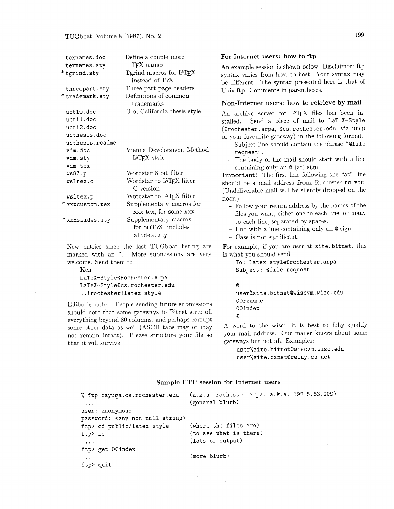| texnames.doc    | Define a couple more                              |
|-----------------|---------------------------------------------------|
| texnames.sty    | TFX names                                         |
| *tgrind.sty     | Tgrind macros for IATEX                           |
|                 | instead of TFX                                    |
| threepart.sty   | Three part page headers                           |
| * trademark.sty | Definitions of common<br>trademarks               |
| uct10.doc       | U of California thesis style                      |
| uct11.doc       |                                                   |
| uct12.doc       |                                                   |
| ucthesis.doc    |                                                   |
| ucthesis.readme |                                                   |
| vdm.doc         | Vienna Development Method                         |
| vdm.sty         | <b>IAT<sub>F</sub>X</b> style                     |
| vdm.tex         |                                                   |
| ws87.p          | Wordstar 8 bit filter                             |
| wsltex.c        | Wordstar to IATEX filter,<br>C version            |
| wsltex.p        | Wordstar to IATFX filter                          |
| * xxxcustom.tex | Supplementary macros for<br>xxx-tex, for some xxx |
| * xxxslides.sty | Supplementary macros                              |
|                 | for SLIT <sub>F</sub> X, includes                 |
|                 | slides.sty                                        |

New entries since the last TUGboat listing are marked with an \*. More submissions are very welcome. Send them to

```
Ken 
LaTeX-Style@Rochester.Arpa 
LaTeX-StyleQcs.rochester.edu 
..!rochester!latex-style
```
Editor's note: People sending future submissions should note that some gateways to Bitnet strip off everything beyond 80 columns, and perhaps corrupt some other data as well (ASCII tabs may or may not remain intact). Please structure your file so that it will survive.

#### For Internet users: how to ftp

An example session is shown below. Disclaimer: ftp syntax varies from host to host. Your syntax may be different. The syntax presented here is that of Unix ftp. Comments in parentheses.

#### Non-Internet users: how to retrieve by **mail**

An archive server for IAT<sub>F</sub>X files has been installed. Send a piece of mail to **LaTeX-Style (Qrochester** . **arpa, @cs .rochester** . **edu,** via uucp or your favourite gateway) in the following format.

- Subject line should contain the phrase **"@file request".**
- The body of the mail should start with a line containing only an **Q** (at) sign.

Important! The first line following the "at" line should be a mail address from Rochester to you. (Undeliverable mail will be silently dropped on the floor.)

- Follow your return address by the names of the files you want, either one to each line. or many to each line, separated by spaces.
- End with a line containing only an **Q** sign.
- Case is not significant.

For example, if you are user at **site. bitnet,** this is what you should send:

**To: latex-style@rochester.arpa Subject: Qfile request** 

## **Q**

```
user%site.bitnet@wiscvm.wisc.edu 
OOreadme 
OOindex
```
**Q** 

A word to the wise: it is best to fully qualify your mail address. Our mailer knows about some gateways but not all. Examples:

**user%site.bitnet@wiscvm.wisc.edu user%site.csnetQrelay.cs.net** 

## Sample FTP session for Internet users

| % ftp cayuga.cs.rochester.edu<br>$\cdots$   | (a.k.a. rochester.arpa, a.k.a. 192.5.53.209)<br>(general blurb) |
|---------------------------------------------|-----------------------------------------------------------------|
| user: anonymous                             |                                                                 |
| password: <any non-null="" string=""></any> |                                                                 |
| ftp> cd public/latex-style                  | (where the files are)                                           |
| ftp> ls                                     | (to see what is there)                                          |
| $\cdots$                                    | (lots of output)                                                |
| ftp> get OOindex                            |                                                                 |
| $\cdots$                                    | (more blurb)                                                    |
| ftp> quit                                   |                                                                 |